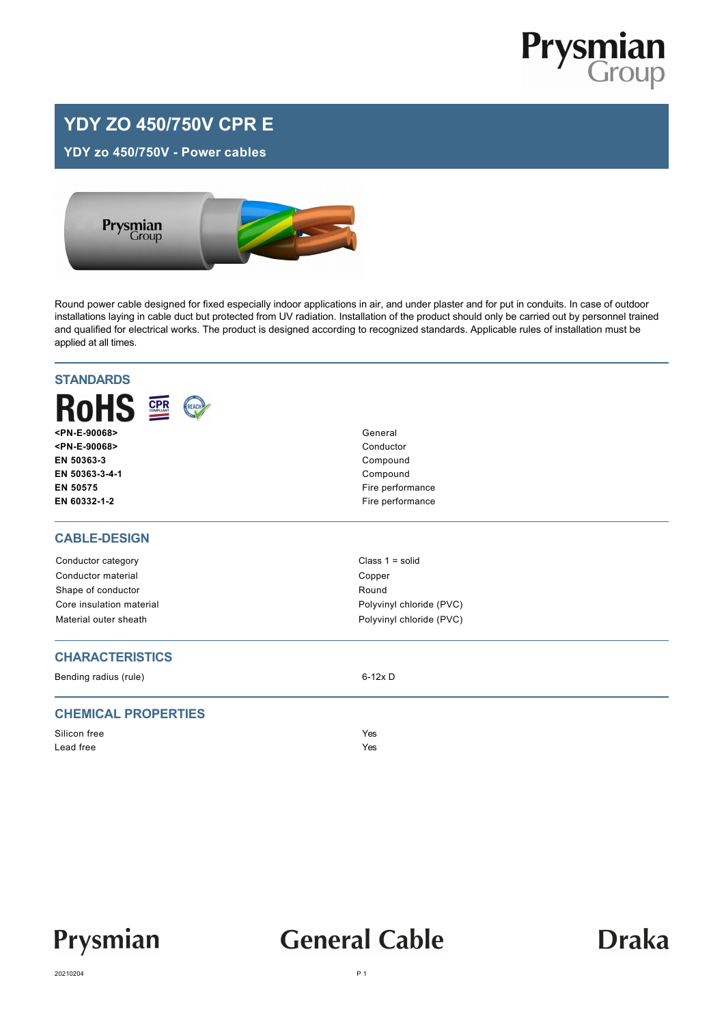

### **YDY ZO 450/750V CPR E**

**YDY zo 450/750V - Power cables**



Round power cable designed for fixed especially indoor applications in air, and under plaster and for put in conduits. In case of outdoor installations laying in cable duct but protected from UV radiation. Installation of the product should only be carried out by personnel trained and qualified for electrical works. The product is designed according to recognized standards. Applicable rules of installation must be applied at all times.

| <b>STANDARDS</b>           |                          |  |  |  |  |
|----------------------------|--------------------------|--|--|--|--|
| <b>RoHS 2</b><br>REACH     |                          |  |  |  |  |
| <pn-e-90068></pn-e-90068>  | General<br>Conductor     |  |  |  |  |
| <pn-e-90068></pn-e-90068>  |                          |  |  |  |  |
| EN 50363-3                 | Compound                 |  |  |  |  |
| EN 50363-3-4-1             | Compound                 |  |  |  |  |
| EN 50575                   | Fire performance         |  |  |  |  |
| EN 60332-1-2               | Fire performance         |  |  |  |  |
| <b>CABLE-DESIGN</b>        |                          |  |  |  |  |
| Conductor category         | Class $1 = solid$        |  |  |  |  |
| Conductor material         | Copper                   |  |  |  |  |
| Shape of conductor         | Round                    |  |  |  |  |
| Core insulation material   | Polyvinyl chloride (PVC) |  |  |  |  |
| Material outer sheath      | Polyvinyl chloride (PVC) |  |  |  |  |
| <b>CHARACTERISTICS</b>     |                          |  |  |  |  |
| Bending radius (rule)      | $6-12x$ D                |  |  |  |  |
| <b>CHEMICAL PROPERTIES</b> |                          |  |  |  |  |
| Silicon free               | Yes                      |  |  |  |  |
| Lead free                  | Yes                      |  |  |  |  |
|                            |                          |  |  |  |  |



## **General Cable**